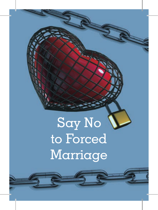## Say No to Forced Marriage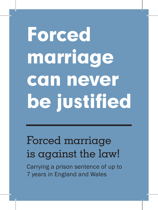# **Forced** marriage can never be justified

### Forced marriage is against the law!

Carrying a prison sentence of up to 7 years in England and Wales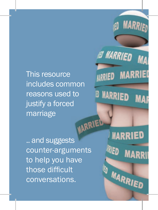This resource includes common reasons used to justify a forced marriage WARRIED

**@ MARRIED** Ñ **MARRI** *URRIED* **D** MARRIED M

**MARRI** 

.. and suggests counter-arguments to help you have those difficult conversations.

**MARRIED** WED **MARI MARRIED**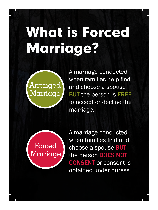## What is Forced Marriage?



A marriage conducted when families help find and choose a spouse BUT the person is FREE to accept or decline the marriage.



A marriage conducted when families find and choose a spouse BUT the person DOES NOT CONSENT or consent is obtained under duress.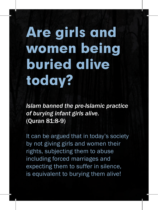## Are girls and women being buried alive today?

*Islam banned the pre-Islamic practice of burying infant girls alive.*  (Quran 81:8-9)

It can be argued that in today's society by not giving girls and women their rights, subjecting them to abuse including forced marriages and expecting them to suffer in silence, is equivalent to burying them alive!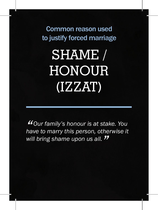### SHAME / **HONOUR** (IZZAT)

*"Our family's honour is at stake. You have to marry this person, otherwise it will bring shame upon us all. "*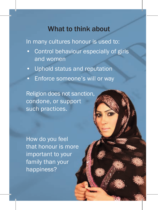In many cultures honour is used to:

- Control behaviour especially of girls and women
- Uphold status and reputation
- Enforce someone's will or way

Religion does not sanction, condone, or support such practices.

How do you feel that honour is more important to your family than your happiness?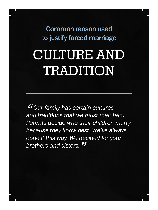### CULTURE AND TRADITION

*"Our family has certain cultures and traditions that we must maintain. Parents decide who their children marry because they know best. We've always done it this way. We decided for your brothers and sisters. "*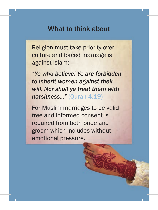Religion must take priority over culture and forced marriage is against Islam:

*"Ye who believe! Ye are forbidden to inherit women against their will. Nor shall ye treat them with harshness…"* (Quran 4:19)

For Muslim marriages to be valid free and informed consent is required from both bride and groom which includes without emotional pressure.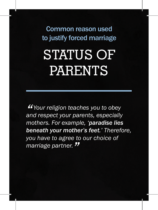### STATUS OF **PARENTS**

*"Your religion teaches you to obey and respect your parents, especially mothers. For example, 'paradise lies beneath your mother's feet.' Therefore, you have to agree to our choice of marriage partner. "*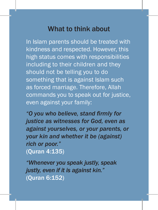In Islam parents should be treated with kindness and respected. However, this high status comes with responsibilities including to their children and they should not be telling you to do something that is against Islam such as forced marriage. Therefore, Allah commands you to speak out for justice, even against your family:

*"O you who believe, stand firmly for justice as witnesses for God, even as against yourselves, or your parents, or your kin and whether it be (against) rich or poor."*  (Quran 4:135)

*"Whenever you speak justly, speak justly, even if it is against kin."*  (Quran 6:152)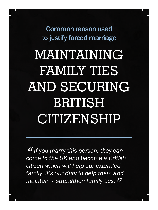### MAINTAINING FAMILY TIES AND SECURING **BRITISH** CITIZENSHIP Common reason used to justify forced marriage

**"** If you marry this person, they can come to the UK and become a British *If you marry this person, they can citizen which will help our extended family. It's our duty to help them and maintain / strengthen family ties. "*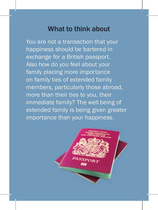You are not a transaction that your happiness should be bartered in exchange for a British passport. Also how do you feel about your family placing more importance on family ties of extended family members, particularly those abroad, more than their ties to you, their immediate family? The well being of extended family is being given greater importance than your happiness.

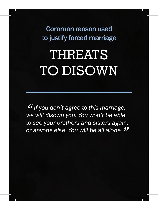### **THREATS** TO DISOWN

**"** If you don't agree to this marriage,<br>we will disown you. You won't be able *If you don't agree to this marriage, to see your brothers and sisters again, or anyone else. You will be all alone. "*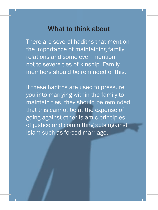There are several hadiths that mention the importance of maintaining family relations and some even mention not to severe ties of kinship. Family members should be reminded of this.

If these hadiths are used to pressure you into marrying within the family to maintain ties, they should be reminded that this cannot be at the expense of going against other Islamic principles of justice and committing acts against Islam such as forced marriage.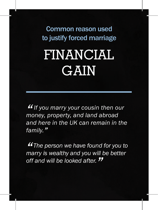### FINANCIAL GAIN Common reason used to justify forced marriage

**"** If you marry your cousin then of money, property, and land abroad *If you marry your cousin then our and here in the UK can remain in the family."*

*"The person we have found for you to marry is wealthy and you will be better off and will be looked after. "*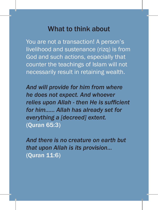You are not a transaction! A person's livelihood and sustenance (rizq) is from God and such actions, especially that counter the teachings of Islam will not necessarily result in retaining wealth.

*And will provide for him from where he does not expect. And whoever relies upon Allah - then He is sufficient for him…... Allah has already set for everything a [decreed] extent.*  (Quran 65:3)

*And there is no creature on earth but that upon Allah is its provision…*  (Quran 11:6)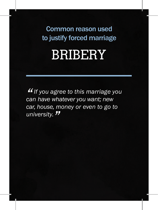### **BRIBERY**

*" can have whatever you want; new If you agree to this marriage you car, house, money or even to go to university. "*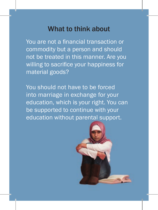You are not a financial transaction or commodity but a person and should not be treated in this manner. Are you willing to sacrifice your happiness for material goods?

You should not have to be forced into marriage in exchange for your education, which is your right. You can be supported to continue with your education without parental support.

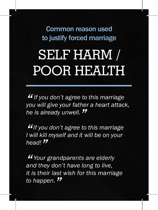### SELF HARM / POOR HEALTH

*" you will give your father a heart attack, If you don't agree to this marriage he is already unwell. "*

*"If you don't agree to this marriage I will kill myself and it will be on your head! "*

*"Your grandparents are elderly and they don't have long to live, it is their last wish for this marriage to happen. "*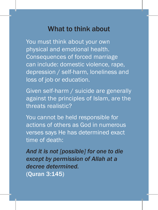You must think about your own physical and emotional health. Consequences of forced marriage can include: domestic violence, rape, depression / self-harm, loneliness and loss of job or education.

Given self-harm / suicide are generally against the principles of Islam, are the threats realistic?

You cannot be held responsible for actions of others as God in numerous verses says He has determined exact time of death:

*And it is not [possible] for one to die except by permission of Allah at a decree determined.* (Quran 3:145)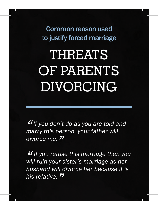## **THREATS** OF PARENTS DIVORCING

*"If you don't do as you are told and marry this person, your father will divorce me. "*

*" will ruin your sister's marriage as her If you refuse this marriage then you husband will divorce her because it is his relative. "*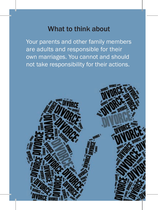Your parents and other family members are adults and responsible for their own marriages. You cannot and should not take responsibility for their actions.

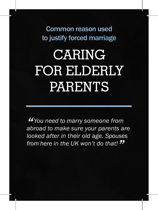### CARING FOR ELDERLY PARENTS

*"You need to marry someone from abroad to make sure your parents are looked after in their old age. Spouses from here in the UK won't do that! "*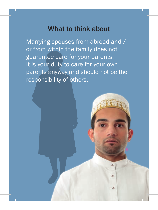Marrying spouses from abroad and / or from within the family does not guarantee care for your parents. It is your duty to care for your own parents anyway and should not be the responsibility of others.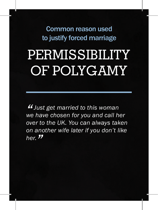### PERMISSIBILITY OF POLYGAMY

*" we have chosen for you and call her Just get married to this woman over to the UK. You can always taken on another wife later if you don't like her. "*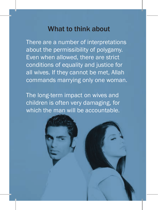There are a number of interpretations about the permissibility of polygamy. Even when allowed, there are strict conditions of equality and justice for all wives. If they cannot be met, Allah commands marrying only one woman.

The long-term impact on wives and children is often very damaging, for which the man will be accountable.

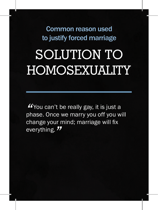### SOLUTION TO HOMOSEXUALITY

*"*You can't be really gay, it is just a phase. Once we marry you off you will change your mind; marriage will fix everything. *"*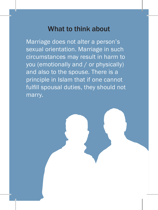Marriage does not alter a person's sexual orientation. Marriage in such circumstances may result in harm to you (emotionally and / or physically) and also to the spouse. There is a principle in Islam that if one cannot fulfill spousal duties, they should not marry.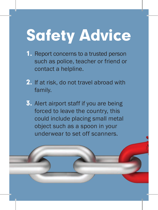## Safety Advice

- 1. Report concerns to a trusted person such as police, teacher or friend or contact a helpline.
- 2. If at risk, do not travel abroad with family.
- 3. Alert airport staff if you are being forced to leave the country, this could include placing small metal object such as a spoon in your underwear to set off scanners.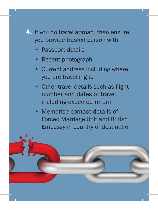#### 4. If you do travel abroad, then ensure you provide trusted person with:

- Passport details
- Recent photograph
- Current address including where you are travelling to
- Other travel details such as flight number and dates of travel including expected return
- Memorise contact details of Forced Marriage Unit and British Embassy in country of destination